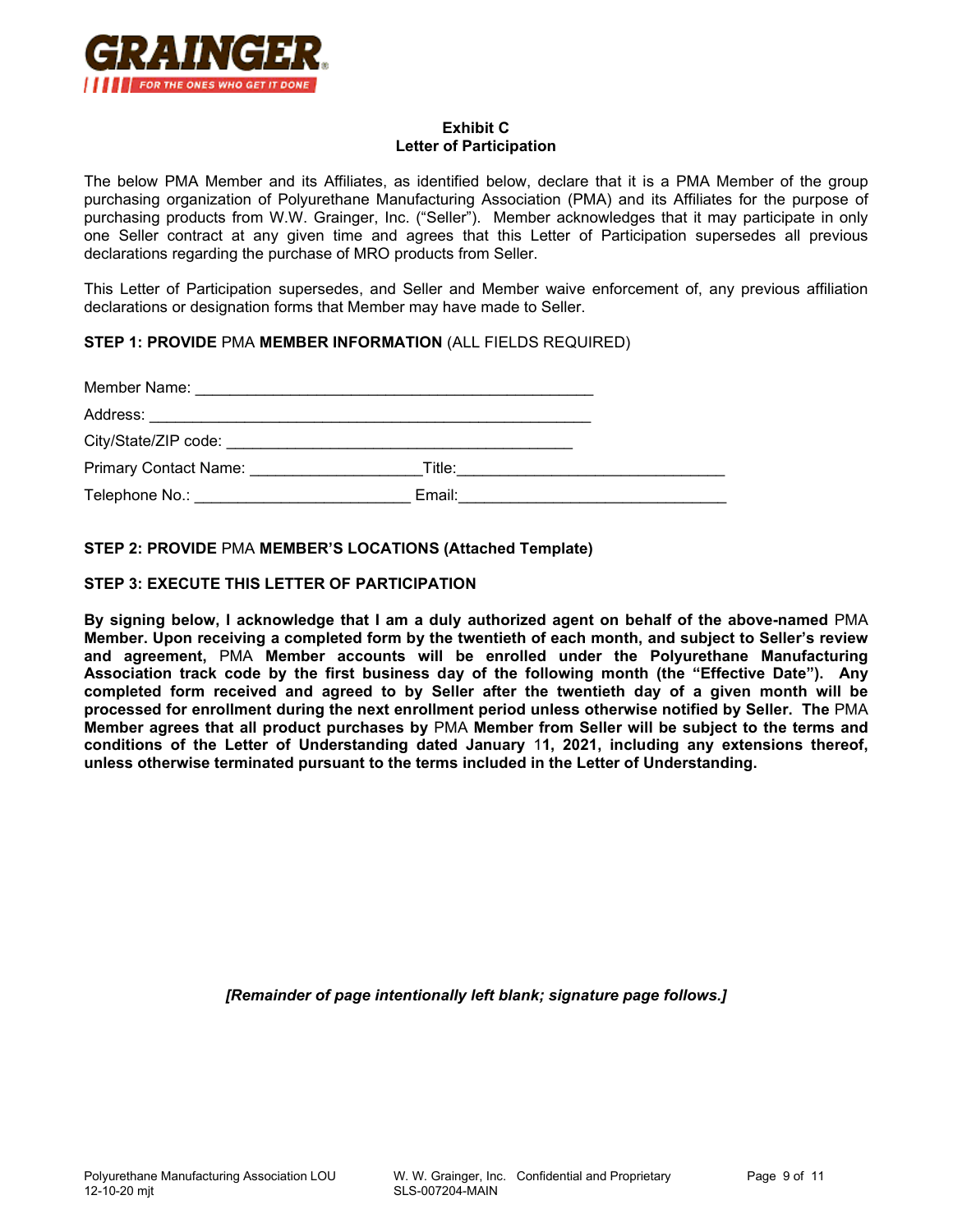

## **Exhibit C Letter of Participation**

The below PMA Member and its Affiliates, as identified below, declare that it is a PMA Member of the group purchasing organization of Polyurethane Manufacturing Association (PMA) and its Affiliates for the purpose of purchasing products from W.W. Grainger, Inc. ("Seller"). Member acknowledges that it may participate in only one Seller contract at any given time and agrees that this Letter of Participation supersedes all previous declarations regarding the purchase of MRO products from Seller.

This Letter of Participation supersedes, and Seller and Member waive enforcement of, any previous affiliation declarations or designation forms that Member may have made to Seller.

## **STEP 1: PROVIDE** PMA **MEMBER INFORMATION** (ALL FIELDS REQUIRED)

| <b>Primary Contact Name:</b> Primary Contact Name:                                                                                                                                                                             |        |  |
|--------------------------------------------------------------------------------------------------------------------------------------------------------------------------------------------------------------------------------|--------|--|
| Telephone No.: The contract of the contract of the contract of the contract of the contract of the contract of the contract of the contract of the contract of the contract of the contract of the contract of the contract of | Email: |  |

## **STEP 2: PROVIDE** PMA **MEMBER'S LOCATIONS (Attached Template)**

## **STEP 3: EXECUTE THIS LETTER OF PARTICIPATION**

**By signing below, I acknowledge that I am a duly authorized agent on behalf of the above-named** PMA **Member. Upon receiving a completed form by the twentieth of each month, and subject to Seller's review and agreement,** PMA **Member accounts will be enrolled under the Polyurethane Manufacturing Association track code by the first business day of the following month (the "Effective Date"). Any completed form received and agreed to by Seller after the twentieth day of a given month will be processed for enrollment during the next enrollment period unless otherwise notified by Seller. The** PMA **Member agrees that all product purchases by** PMA **Member from Seller will be subject to the terms and conditions of the Letter of Understanding dated January** 1**1, 2021, including any extensions thereof, unless otherwise terminated pursuant to the terms included in the Letter of Understanding.** 

*[Remainder of page intentionally left blank; signature page follows.]*